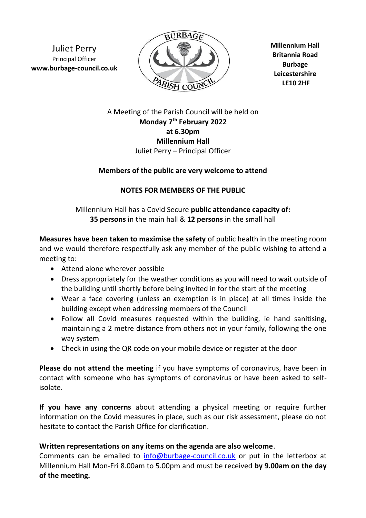Juliet Perry Principal Officer **www.burbage-council.co.uk**



**Millennium Hall Britannia Road Burbage Leicestershire LE10 2HF**

A Meeting of the Parish Council will be held on **Monday 7 th February 2022 at 6.30pm Millennium Hall** Juliet Perry – Principal Officer

## **Members of the public are very welcome to attend**

## **NOTES FOR MEMBERS OF THE PUBLIC**

Millennium Hall has a Covid Secure **public attendance capacity of: 35 persons** in the main hall & **12 persons** in the small hall

**Measures have been taken to maximise the safety** of public health in the meeting room and we would therefore respectfully ask any member of the public wishing to attend a meeting to:

- Attend alone wherever possible
- Dress appropriately for the weather conditions as you will need to wait outside of the building until shortly before being invited in for the start of the meeting
- Wear a face covering (unless an exemption is in place) at all times inside the building except when addressing members of the Council
- Follow all Covid measures requested within the building, ie hand sanitising, maintaining a 2 metre distance from others not in your family, following the one way system
- Check in using the QR code on your mobile device or register at the door

**Please do not attend the meeting** if you have symptoms of coronavirus, have been in contact with someone who has symptoms of coronavirus or have been asked to selfisolate.

**If you have any concerns** about attending a physical meeting or require further information on the Covid measures in place, such as our risk assessment, please do not hesitate to contact the Parish Office for clarification.

## **Written representations on any items on the agenda are also welcome**.

Comments can be emailed to [info@burbage-council.co.uk](mailto:info@burbage-council.co.uk) or put in the letterbox at Millennium Hall Mon-Fri 8.00am to 5.00pm and must be received **by 9.00am on the day of the meeting.**